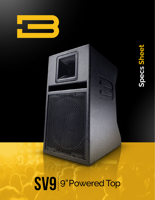

# Specs Sheet **Specs Sheet**

## SV9 9" Powered Top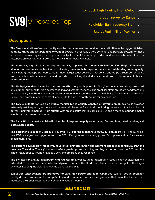### SV9 9" Powered Top

Compact, High Fidelity, High Output o-

- Broad Frequency Range o-
- Rotatable High Frequency Horn o-
	- Use as Main, Fill or Monitor o-

#### **Description:**

**The SV9 is a studio-reference quality monitor that can venture outside the studio thanks to rugged finishes, handles, grilles and a substantial amount of power.** The result is a very compact and portable system for those who need premium quality and impressive output, perfect for sound providers and venues who need to cover distanced crowds without large sized, heavy and obtrusive cabinets.

**The compact, high fidelity and high output SV9 replaces the popular BASSBOSS SV8 Single 8" Powered Monitor, and continues the tradition of delivering remarkable bass performance and outstanding sound quality.** This single 9" loudspeaker compares to much larger loudspeakers in response and output. Such performance from a much smaller enclosure is made possible by making decidedly different design and component choices than competitors.

**The Birch plywood enclosure is strong and solid but very easily portable.** The 9" woofer features a large voice coil and a rubber surround for high power handling and smooth response. The amplifier offers abundant headroom and the proprietary BASSBOSS processing ensures exceptional sound quality and reliability. The cabinet construction, design, and premium components all contribute to a rich, smooth, sound for any occasion.

**The SV9 is suitable for use as a studio monitor but is equally capable of covering small events.** It provides extremely flat frequency response with a neutral character for critical monitoring duties and, thanks to lots of power, it delivers remarkably high output. With an enclosure that is just 18 x 10 x 15 and a mere 26 pounds, smaller events can be covered with ease.

**The Baltic Birch cabinet is finished in durable, high-pressure polyurea coating, features integrated handles, and a steel pole socket.**

**The amplifier is a 1200W Class D SMPS with PFC, offering 2-channels: 800W LF and 400W HF.** The SV9s allnew DSP is a significant upgrade from the SV8, offering more processing power. Four presets allow for a variety of configurations.

**The custom developed 9" Neodymium LF driver provides larger displacement and higher sensitivity than the previous 8" version.** The 2.5" voice-coil offers greater power handling and higher output than the SV8, and the single-roll rubber surround provides a very smooth frequency response.

**The SV9 uses an annular diaphragm ring-radiator HF driver.** Its lighter diaphragm results in lower distortion and extended HF response. The smaller Neodymium motor of the HF driver offsets the added weight of the larger LF motor, keeping the weight nearly the same as the SV8.

**BASSBOSS loudspeakers are protected for safe, high-power operation.** Optimized cabinet design, premium quality drivers, power-matched amplification and comprehensive processing ensure that no matter the demand, they keep their cool, keep their character and keep on working.

#### **www.bassboss.com**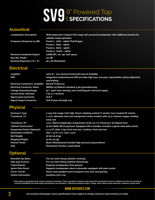## SV9<sup>9"</sup> Powered Top

#### **Acoustical**

| <b>Loudspeaker Description:</b>  | Wide dispersion compact full-range self-powered loudspeaker with additional presets for<br>satellite mode operation |
|----------------------------------|---------------------------------------------------------------------------------------------------------------------|
| Frequency Response (±3 dB):      | Preset 1: 50Hz - 19kHz (Full Range)                                                                                 |
|                                  | Preset 2: 65Hz - 19kHz                                                                                              |
|                                  | Preset 3: 80Hz - 19kHz                                                                                              |
|                                  | Preset 4: 100Hz - 19kHz                                                                                             |
| <b>Maximum Sustained Output:</b> | 118dB SPL, 1m, 2pi, half-space                                                                                      |
| Max SPL (Peak)*:                 | 121 dB                                                                                                              |
| Nominal Dispersion (°H x °V):    | 90 x 60 (Rotatable)                                                                                                 |

### **Electrical**

| Amplifier:                               | 1200 W – two channel Powersoft Class D Amplifier                                         |
|------------------------------------------|------------------------------------------------------------------------------------------|
| <b>DSP:</b>                              | Integrated comprehensive DSP provides high pass, low pass, equalization, phase alignment |
|                                          | and limiting                                                                             |
| <b>Electrical Connectors, Amplifier:</b> | <b>Neutrik Powercon</b>                                                                  |
| <b>Electrical Connector, Mains:</b>      | NEMA5-15 (Edison) standard 3-pin grounded plug                                           |
| <b>Voltage Operating Range:</b>          | 90 – 250V Auto-sensing, auto switching pfc universal supply                              |
| <b>Current Draw, Nominal:</b>            | $1.4A \otimes 1/8$ power                                                                 |
| <b>Signal Input Connector:</b>           | <b>XLR-F</b>                                                                             |
| <b>Signal Output Connector:</b>          | <b>XLR-M pass-through only</b>                                                           |

#### **Physical**

| <b>Enclosure Type:</b>               | 2-way full-range/mid-high. Direct radiating vented LF section, horn-loaded HF section                 |
|--------------------------------------|-------------------------------------------------------------------------------------------------------|
| <b>Transducer, LF:</b>               | 1 x 9 in. diameter (220 mm) neodymium motor woofers with 2.5 in. (64mm) copper winding<br>voice coil. |
| <b>Transducer, HF:</b>               | 1.5 in. (38mm) diaphragm compression driver on 1 in. throat 90 x 60 degree horn.                      |
| <b>Cabinet Construction:</b>         | 15 mm Baltic Birch plywood. Equipped with 2 handles. Includes a 35mm steel pole socket                |
| <b>Suspension Points (Optional):</b> | 4 x 3/8" 16tpi, 2 top, front and rear, 2 bottom, front and rear                                       |
| Dimensions (HxWxD):                  | 18in. x 10 in. (7 in. rear) x 15 in.                                                                  |
| Net Weight:                          | 26 lbs (11.8 kg)                                                                                      |
| <b>Shipping Weight:</b>              | 31 lbs (14 kg)                                                                                        |
| <b>Exterior Finish:</b>              | Black Weatherproof bonded high-pressure polyurethane                                                  |
| Grill:                               | Perforated, Powder-coated Steel                                                                       |

### **Optional**

| <b>Shoulder Eve Bolts:</b> | For use when flying cabinets vertically                        |
|----------------------------|----------------------------------------------------------------|
| <b>Side-pull Anchors:</b>  | For use when flying cabinets horizontally                      |
| <b>Tripod Stands:</b>      | Supports loudspeaker from ground                               |
| <b>35mm Pole Stand:</b>    | Supports loudspeaker above subwoofer equipped with pole socket |
| <b>Cover/Carrier:</b>      | Heavy-duty padded nylon transport cover and carrying bag       |
| <b>Online Information:</b> | bassboss.com/svg                                               |
|                            |                                                                |

"Peak output is calculated using "industry standard" techniques. These calculation methods create theoretical specifications that are inflated over what can actually be<br>achieved. BASSBOSS real world output specifications a

#### **www.bassboss.com**